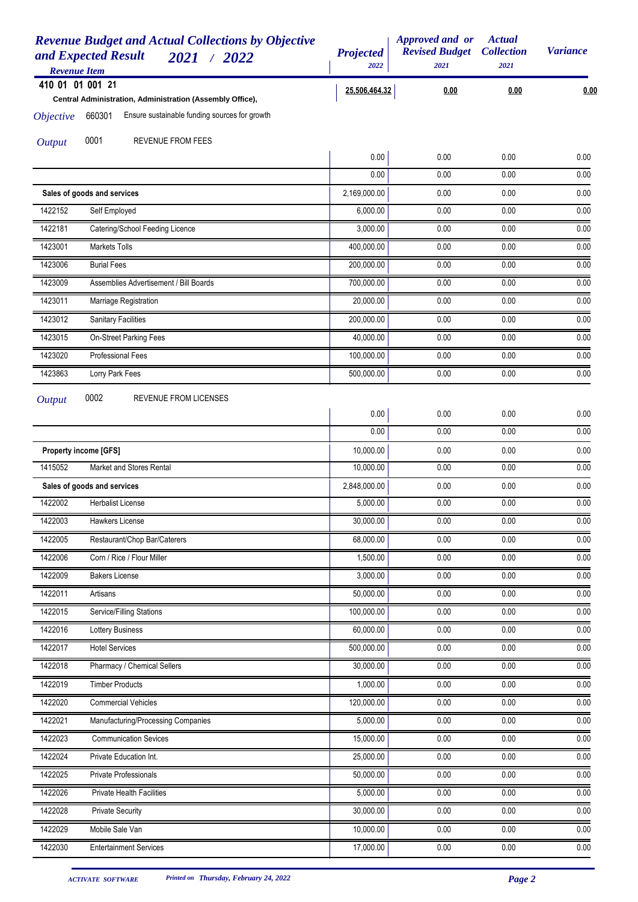| <b>Revenue Budget and Actual Collections by Objective</b><br>and Expected Result<br>2021 / 2022<br><b>Revenue Item</b> | <b>Projected</b><br>2022 | Approved and or<br><b>Revised Budget</b><br>2021 | <b>Actual</b><br><b>Collection</b><br>2021 | <b>Variance</b>   |
|------------------------------------------------------------------------------------------------------------------------|--------------------------|--------------------------------------------------|--------------------------------------------|-------------------|
| 410 01 01 001 21                                                                                                       | 25,506,464.32            | 0.00                                             | 0.00                                       | 0.00              |
| Central Administration, Administration (Assembly Office),                                                              |                          |                                                  |                                            |                   |
| Ensure sustainable funding sources for growth<br>660301<br><i><b>Objective</b></i>                                     |                          |                                                  |                                            |                   |
| 0001<br>REVENUE FROM FEES<br><b>Output</b>                                                                             |                          |                                                  |                                            |                   |
|                                                                                                                        | 0.00                     | 0.00                                             | 0.00                                       | 0.00              |
|                                                                                                                        | 0.00                     | 0.00                                             | 0.00                                       | 0.00              |
| Sales of goods and services                                                                                            | 2,169,000.00             | 0.00                                             | 0.00                                       | 0.00              |
| 1422152<br>Self Employed                                                                                               | 6,000.00                 | 0.00                                             | 0.00                                       | 0.00              |
| 1422181<br>Catering/School Feeding Licence                                                                             | 3,000.00                 | 0.00                                             | 0.00                                       | 0.00              |
| 1423001<br>Markets Tolls                                                                                               | 400,000.00               | 0.00                                             | 0.00                                       | 0.00              |
| 1423006<br><b>Burial Fees</b>                                                                                          | 200,000.00               | 0.00                                             | 0.00                                       | 0.00              |
| 1423009<br>Assemblies Advertisement / Bill Boards                                                                      | 700,000.00               | 0.00                                             | 0.00                                       | 0.00              |
| 1423011<br>Marriage Registration                                                                                       | 20,000.00                | 0.00                                             | 0.00                                       | 0.00              |
| 1423012<br><b>Sanitary Facilities</b>                                                                                  | 200,000.00               | 0.00                                             | 0.00                                       | 0.00              |
| 1423015<br>On-Street Parking Fees                                                                                      | 40,000.00                | 0.00                                             | 0.00                                       | 0.00              |
| 1423020<br><b>Professional Fees</b>                                                                                    | 100,000.00               | 0.00                                             | 0.00                                       | 0.00              |
| 1423863<br>Lorry Park Fees                                                                                             | 500,000.00               | 0.00                                             | 0.00                                       | 0.00              |
| 0002<br>REVENUE FROM LICENSES<br><b>Output</b>                                                                         | 0.00<br>0.00             | 0.00<br>0.00                                     | 0.00<br>0.00                               | 0.00<br>0.00      |
| <b>Property income [GFS]</b>                                                                                           | 10,000.00                | 0.00                                             | 0.00                                       | 0.00              |
| 1415052<br>Market and Stores Rental                                                                                    | 10,000.00                | 0.00                                             | 0.00                                       | 0.00              |
| Sales of goods and services                                                                                            | 2,848,000.00             | 0.00                                             | 0.00                                       | 0.00              |
| 1422002<br><b>Herbalist License</b>                                                                                    | 5,000.00                 | 0.00                                             | 0.00                                       | 0.00              |
| 1422003<br>Hawkers License                                                                                             | 30,000.00                | 0.00                                             | 0.00                                       | 0.00              |
| Restaurant/Chop Bar/Caterers<br>1422005                                                                                | 68,000.00                | 0.00                                             | 0.00                                       | 0.00              |
| Corn / Rice / Flour Miller<br>1422006                                                                                  | 1,500.00                 | 0.00                                             | 0.00                                       | 0.00              |
| 1422009<br><b>Bakers License</b>                                                                                       | 3,000.00                 | 0.00                                             | 0.00                                       | 0.00              |
| 1422011<br>Artisans                                                                                                    | 50,000.00                | 0.00                                             | 0.00                                       | 0.00              |
| 1422015<br>Service/Filling Stations                                                                                    | 100,000.00               | 0.00                                             | 0.00                                       | 0.00              |
| 1422016<br>Lottery Business                                                                                            | 60,000.00                | 0.00                                             | 0.00                                       | 0.00              |
| 1422017<br><b>Hotel Services</b>                                                                                       | 500,000.00               | 0.00                                             | 0.00                                       | 0.00              |
| 1422018<br>Pharmacy / Chemical Sellers                                                                                 | 30,000.00                | 0.00                                             | 0.00                                       | 0.00              |
| 1422019<br><b>Timber Products</b>                                                                                      | 1,000.00                 | 0.00                                             | 0.00                                       | 0.00              |
| 1422020<br><b>Commercial Vehicles</b>                                                                                  | 120,000.00               | 0.00                                             | 0.00                                       | 0.00              |
| 1422021<br>Manufacturing/Processing Companies                                                                          | 5,000.00                 | 0.00                                             | 0.00                                       | 0.00              |
| 1422023<br><b>Communication Sevices</b>                                                                                | 15,000.00                | 0.00                                             | 0.00                                       | 0.00              |
| 1422024<br>Private Education Int.                                                                                      | 25,000.00                | 0.00                                             | 0.00                                       | 0.00              |
| 1422025<br>Private Professionals                                                                                       | 50,000.00                | 0.00                                             | 0.00                                       | 0.00              |
| 1422026<br>Private Health Facilities                                                                                   | 5,000.00                 | 0.00                                             | 0.00                                       | $\overline{0.00}$ |
| 1422028<br><b>Private Security</b>                                                                                     | 30,000.00                | 0.00                                             | 0.00                                       | 0.00              |
| Mobile Sale Van<br>1422029                                                                                             | 10,000.00                | 0.00                                             | 0.00                                       | 0.00              |
| 1422030<br><b>Entertainment Services</b>                                                                               | 17,000.00                | 0.00                                             | 0.00                                       | 0.00              |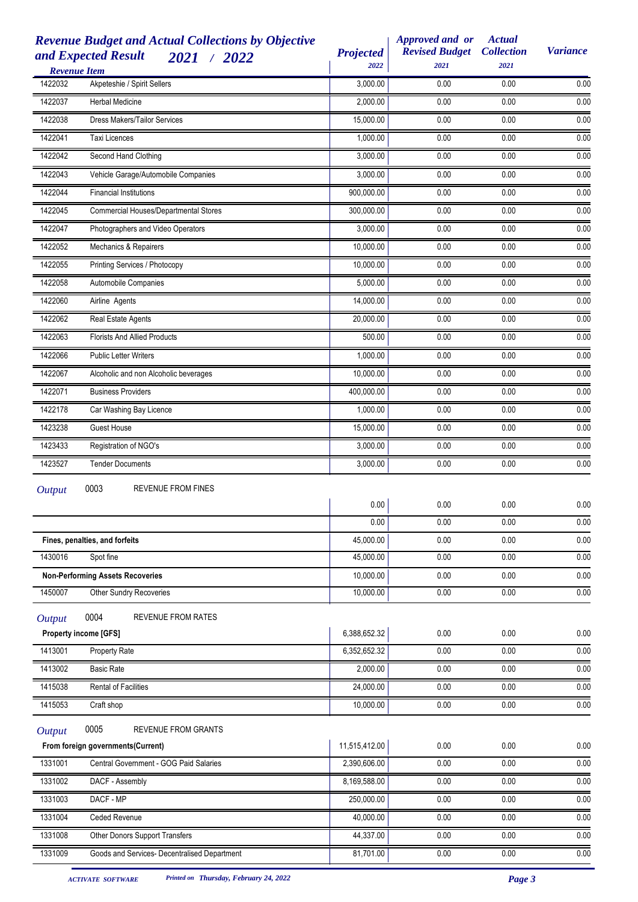| <b>Revenue Item</b> | <b>Revenue Budget and Actual Collections by Objective</b><br>and Expected Result<br>2021 / 2022 | <b>Projected</b><br>2022      | Approved and or<br><b>Revised Budget</b><br>2021 | <b>Actual</b><br><b>Collection</b><br>2021 | <b>Variance</b> |
|---------------------|-------------------------------------------------------------------------------------------------|-------------------------------|--------------------------------------------------|--------------------------------------------|-----------------|
| 1422032             | Akpeteshie / Spirit Sellers                                                                     | 3,000.00                      | 0.00                                             | 0.00                                       | 0.00            |
| 1422037             | Herbal Medicine                                                                                 | 2,000.00                      | 0.00                                             | 0.00                                       | 0.00            |
| 1422038             | <b>Dress Makers/Tailor Services</b>                                                             | 15,000.00                     | 0.00                                             | 0.00                                       | 0.00            |
| 1422041             | Taxi Licences                                                                                   | 1,000.00                      | 0.00                                             | 0.00                                       | 0.00            |
| 1422042             | Second Hand Clothing                                                                            | 3,000.00                      | 0.00                                             | 0.00                                       | 0.00            |
| 1422043             | Vehicle Garage/Automobile Companies                                                             | 3,000.00                      | 0.00                                             | 0.00                                       | 0.00            |
| 1422044             | <b>Financial Institutions</b>                                                                   | 900,000.00                    | 0.00                                             | 0.00                                       | 0.00            |
| 1422045             | Commercial Houses/Departmental Stores                                                           | 300,000.00                    | 0.00                                             | 0.00                                       | 0.00            |
| 1422047             | Photographers and Video Operators                                                               | 3,000.00                      | 0.00                                             | 0.00                                       | 0.00            |
| 1422052             | Mechanics & Repairers                                                                           | 10,000.00                     | 0.00                                             | 0.00                                       | 0.00            |
| 1422055             | Printing Services / Photocopy                                                                   | 10,000.00                     | 0.00                                             | 0.00                                       | 0.00            |
| 1422058             | Automobile Companies                                                                            | 5,000.00                      | 0.00                                             | 0.00                                       | 0.00            |
| 1422060             | Airline Agents                                                                                  | 14,000.00                     | 0.00                                             | 0.00                                       | 0.00            |
| 1422062             | Real Estate Agents                                                                              | 20,000.00                     | 0.00                                             | 0.00                                       | 0.00            |
| 1422063             | <b>Florists And Allied Products</b>                                                             | 500.00                        | 0.00                                             | 0.00                                       | 0.00            |
| 1422066             | <b>Public Letter Writers</b>                                                                    | 1,000.00                      | 0.00                                             | 0.00                                       | 0.00            |
| 1422067             | Alcoholic and non Alcoholic beverages                                                           | 10,000.00                     | 0.00                                             | 0.00                                       | 0.00            |
| 1422071             | <b>Business Providers</b>                                                                       | 400,000.00                    | 0.00                                             | 0.00                                       | 0.00            |
| 1422178             | Car Washing Bay Licence                                                                         | 1,000.00                      | 0.00                                             | 0.00                                       | 0.00            |
| 1423238             | <b>Guest House</b>                                                                              | 15,000.00                     | 0.00                                             | 0.00                                       | 0.00            |
| 1423433             | Registration of NGO's                                                                           | 3,000.00                      | 0.00                                             | 0.00                                       | 0.00            |
| 1423527             | <b>Tender Documents</b>                                                                         | 3,000.00                      | 0.00                                             | 0.00                                       | 0.00            |
| <b>Output</b>       | 0003<br><b>REVENUE FROM FINES</b>                                                               |                               |                                                  |                                            |                 |
|                     |                                                                                                 | 0.00                          | 0.00                                             | 0.00                                       | 0.00            |
|                     |                                                                                                 | 0.00                          | 0.00                                             | 0.00                                       | 0.00            |
|                     | Fines, penalties, and forfeits                                                                  | 45,000.00                     | 0.00                                             | 0.00                                       | 0.00            |
| 1430016             | Spot fine                                                                                       | 45,000.00                     | 0.00                                             | 0.00                                       | 0.00            |
|                     | <b>Non-Performing Assets Recoveries</b>                                                         | 10,000.00                     | 0.00                                             | 0.00                                       | 0.00            |
| 1450007             | Other Sundry Recoveries                                                                         | 10,000.00                     | 0.00                                             | 0.00                                       | 0.00            |
| <b>Output</b>       | 0004<br><b>REVENUE FROM RATES</b>                                                               |                               |                                                  |                                            |                 |
|                     | <b>Property income [GFS]</b>                                                                    | 6,388,652.32                  | 0.00                                             | 0.00                                       | 0.00            |
| 1413001             | Property Rate                                                                                   | 6,352,652.32                  | 0.00                                             | 0.00                                       | 0.00            |
| 1413002             | <b>Basic Rate</b>                                                                               | 2,000.00                      | 0.00                                             | 0.00                                       | 0.00            |
| 1415038             | Rental of Facilities                                                                            | 24,000.00                     | 0.00                                             | 0.00                                       | 0.00            |
| 1415053             | Craft shop                                                                                      | 10,000.00                     | 0.00                                             | 0.00                                       | 0.00            |
| <b>Output</b>       | 0005<br>REVENUE FROM GRANTS                                                                     |                               |                                                  |                                            |                 |
| 1331001             | From foreign governments(Current)<br>Central Government - GOG Paid Salaries                     | 11,515,412.00<br>2,390,606.00 | 0.00<br>0.00                                     | 0.00<br>0.00                               | 0.00<br>0.00    |
| 1331002             |                                                                                                 |                               | 0.00                                             | 0.00                                       | 0.00            |
|                     | DACF - Assembly                                                                                 | 8,169,588.00                  |                                                  |                                            |                 |
| 1331003             | DACF - MP                                                                                       | 250,000.00                    | 0.00                                             | 0.00                                       | 0.00            |
| 1331004             | Ceded Revenue                                                                                   | 40,000.00                     | 0.00                                             | 0.00                                       | 0.00            |
| 1331008             | Other Donors Support Transfers                                                                  | 44,337.00                     | 0.00                                             | 0.00                                       | 0.00            |
| 1331009             | Goods and Services- Decentralised Department                                                    | 81,701.00                     | 0.00                                             | 0.00                                       | 0.00            |